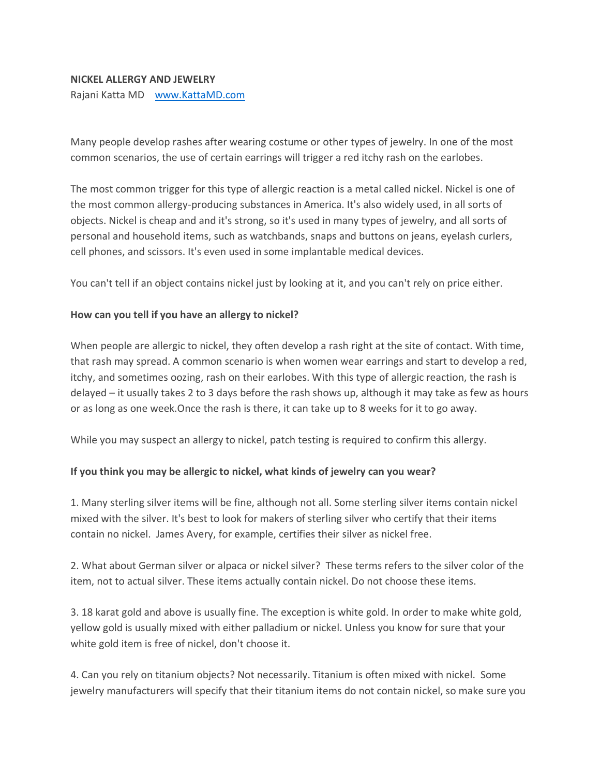## **NICKEL ALLERGY AND JEWELRY**

Rajani Katta MD [www.KattaMD.com](http://www.kattamd.com/)

Many people develop rashes after wearing costume or other types of jewelry. In one of the most common scenarios, the use of certain earrings will trigger a red itchy rash on the earlobes.

The most common trigger for this type of allergic reaction is a metal called nickel. Nickel is one of the most common allergy-producing substances in America. It's also widely used, in all sorts of objects. Nickel is cheap and and it's strong, so it's used in many types of jewelry, and all sorts of personal and household items, such as watchbands, snaps and buttons on jeans, eyelash curlers, cell phones, and scissors. It's even used in some implantable medical devices.

You can't tell if an object contains nickel just by looking at it, and you can't rely on price either.

## **How can you tell if you have an allergy to nickel?**

When people are allergic to nickel, they often develop a rash right at the site of contact. With time, that rash may spread. A common scenario is when women wear earrings and start to develop a red, itchy, and sometimes oozing, rash on their earlobes. With this type of allergic reaction, the rash is delayed – it usually takes 2 to 3 days before the rash shows up, although it may take as few as hours or as long as one week.Once the rash is there, it can take up to 8 weeks for it to go away.

While you may suspect an allergy to nickel, patch testing is required to confirm this allergy.

## **If you think you may be allergic to nickel, what kinds of jewelry can you wear?**

1. Many sterling silver items will be fine, although not all. Some sterling silver items contain nickel mixed with the silver. It's best to look for makers of sterling silver who certify that their items contain no nickel. James Avery, for example, certifies their silver as nickel free.

2. What about German silver or alpaca or nickel silver? These terms refers to the silver color of the item, not to actual silver. These items actually contain nickel. Do not choose these items.

3. 18 karat gold and above is usually fine. The exception is white gold. In order to make white gold, yellow gold is usually mixed with either palladium or nickel. Unless you know for sure that your white gold item is free of nickel, don't choose it.

4. Can you rely on titanium objects? Not necessarily. Titanium is often mixed with nickel. Some jewelry manufacturers will specify that their titanium items do not contain nickel, so make sure you